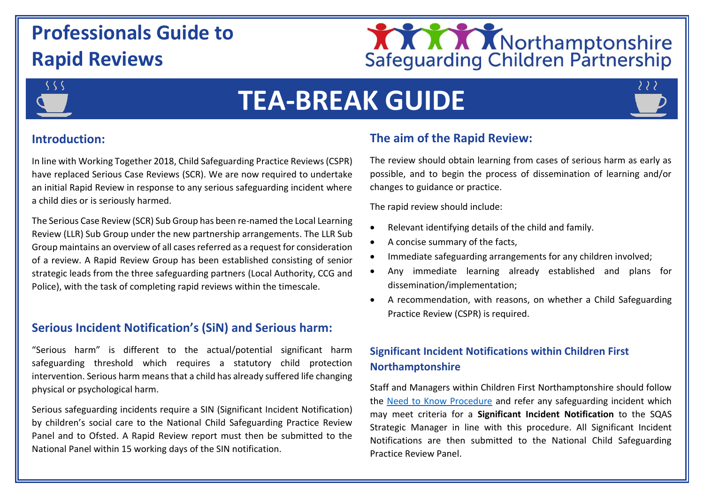# **Professionals Guide to Rapid Reviews**





# **TEA-BREAK GUIDE**

# **Introduction:**

In line with Working Together 2018, Child Safeguarding Practice Reviews (CSPR) have replaced Serious Case Reviews (SCR). We are now required to undertake an initial Rapid Review in response to any serious safeguarding incident where a child dies or is seriously harmed.

The Serious Case Review (SCR) Sub Group has been re-named the Local Learning Review (LLR) Sub Group under the new partnership arrangements. The LLR Sub Group maintains an overview of all cases referred as a request for consideration of a review. A Rapid Review Group has been established consisting of senior strategic leads from the three safeguarding partners (Local Authority, CCG and Police), with the task of completing rapid reviews within the timescale.

# **Serious Incident Notification's (SiN) and Serious harm:**

"Serious harm" is different to the actual/potential significant harm safeguarding threshold which requires a statutory child protection intervention. Serious harm means that a child has already suffered life changing physical or psychological harm.

Serious safeguarding incidents require a SIN (Significant Incident Notification) by children's social care to the National Child Safeguarding Practice Review Panel and to Ofsted. A Rapid Review report must then be submitted to the National Panel within 15 working days of the SIN notification.

# **The aim of the Rapid Review:**

The review should obtain learning from cases of serious harm as early as possible, and to begin the process of dissemination of learning and/or changes to guidance or practice.

The rapid review should include:

- Relevant identifying details of the child and family.
- A concise summary of the facts,
- Immediate safeguarding arrangements for any children involved;
- Any immediate learning already established and plans for dissemination/implementation;
- A recommendation, with reasons, on whether a Child Safeguarding Practice Review (CSPR) is required.

# **Significant Incident Notifications within Children First Northamptonshire**

Staff and Managers within Children First Northamptonshire should follow the [Need to Know Procedure](https://northamptonshirechildcare.proceduresonline.com/files/need_to_know_procedure.pdf) and refer any safeguarding incident which may meet criteria for a **Significant Incident Notification** to the SQAS Strategic Manager in line with this procedure. All Significant Incident Notifications are then submitted to the National Child Safeguarding Practice Review Panel.